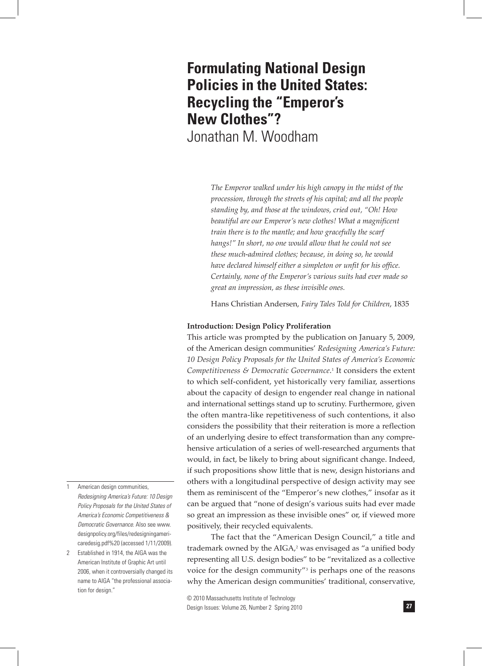# **Formulating National Design Policies in the United States: Recycling the "Emperor's New Clothes"?** Jonathan M. Woodham

*The Emperor walked under his high canopy in the midst of the procession, through the streets of his capital; and all the people standing by, and those at the windows, cried out, "Oh! How beautiful are our Emperor's new clothes! What a magnificent train there is to the mantle; and how gracefully the scarf hangs!" In short, no one would allow that he could not see these much-admired clothes; because, in doing so, he would have declared himself either a simpleton or unfit for his office. Certainly, none of the Emperor's various suits had ever made so great an impression, as these invisible ones.*

Hans Christian Andersen, *Fairy Tales Told for Children*, 1835

### **Introduction: Design Policy Proliferation**

This article was prompted by the publication on January 5, 2009, of the American design communities' *Redesigning America's Future: 10 Design Policy Proposals for the United States of America's Economic Competitiveness & Democratic Governance*. 1 It considers the extent to which self-confident, yet historically very familiar, assertions about the capacity of design to engender real change in national and international settings stand up to scrutiny. Furthermore, given the often mantra-like repetitiveness of such contentions, it also considers the possibility that their reiteration is more a reflection of an underlying desire to effect transformation than any comprehensive articulation of a series of well-researched arguments that would, in fact, be likely to bring about significant change. Indeed, if such propositions show little that is new, design historians and others with a longitudinal perspective of design activity may see them as reminiscent of the "Emperor's new clothes," insofar as it can be argued that "none of design's various suits had ever made so great an impression as these invisible ones" or, if viewed more positively, their recycled equivalents.

The fact that the "American Design Council," a title and trademark owned by the AIGA,<sup>2</sup> was envisaged as "a unified body representing all U.S. design bodies" to be "revitalized as a collective voice for the design community"<sup>3</sup> is perhaps one of the reasons why the American design communities' traditional, conservative,

- American design communities, *Redesigning America's Future: 10 Design Policy Proposals for the United States of America's Economic Competitiveness & Democratic Governance*. Also see www. designpolicy.org/files/redesigningamericaredesig.pdf%20 (accessed 1/11/2009).
- 2 Established in 1914, the AIGA was the American Institute of Graphic Art until 2006, when it controversially changed its name to AIGA "the professional association for design."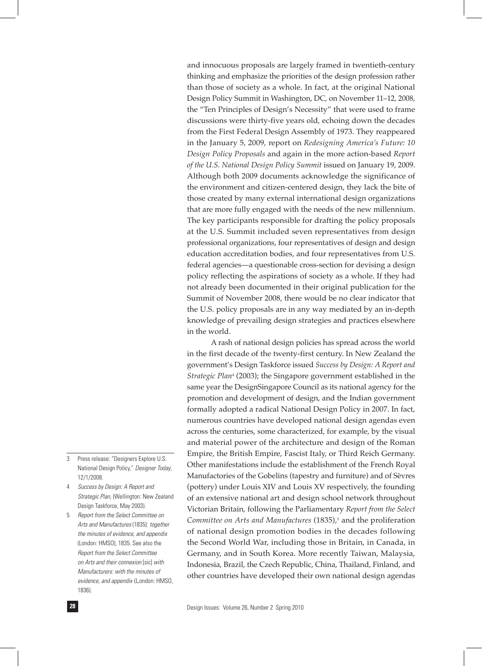and innocuous proposals are largely framed in twentieth-century thinking and emphasize the priorities of the design profession rather than those of society as a whole. In fact, at the original National Design Policy Summit in Washington, DC, on November 11–12, 2008, the "Ten Principles of Design's Necessity" that were used to frame discussions were thirty-five years old, echoing down the decades from the First Federal Design Assembly of 1973. They reappeared in the January 5, 2009, report on *Redesigning America's Future: 10 Design Policy Proposals* and again in the more action-based *Report of the U.S. National Design Policy Summit* issued on January 19, 2009. Although both 2009 documents acknowledge the significance of the environment and citizen-centered design, they lack the bite of those created by many external international design organizations that are more fully engaged with the needs of the new millennium. The key participants responsible for drafting the policy proposals at the U.S. Summit included seven representatives from design professional organizations, four representatives of design and design education accreditation bodies, and four representatives from U.S. federal agencies—a questionable cross-section for devising a design policy reflecting the aspirations of society as a whole. If they had not already been documented in their original publication for the Summit of November 2008, there would be no clear indicator that the U.S. policy proposals are in any way mediated by an in-depth knowledge of prevailing design strategies and practices elsewhere in the world.

A rash of national design policies has spread across the world in the first decade of the twenty-first century. In New Zealand the government's Design Taskforce issued *Success by Design: A Report and Strategic Plan*<sup>4</sup> (2003); the Singapore government established in the same year the DesignSingapore Council as its national agency for the promotion and development of design, and the Indian government formally adopted a radical National Design Policy in 2007. In fact, numerous countries have developed national design agendas even across the centuries, some characterized, for example, by the visual and material power of the architecture and design of the Roman Empire, the British Empire, Fascist Italy, or Third Reich Germany. Other manifestations include the establishment of the French Royal Manufactories of the Gobelins (tapestry and furniture) and of Sèvres (pottery) under Louis XIV and Louis XV respectively, the founding of an extensive national art and design school network throughout Victorian Britain, following the Parliamentary *Report from the Select*  Committee on Arts and Manufactures (1835),<sup>5</sup> and the proliferation of national design promotion bodies in the decades following the Second World War, including those in Britain, in Canada, in Germany, and in South Korea. More recently Taiwan, Malaysia, Indonesia, Brazil, the Czech Republic, China, Thailand, Finland, and other countries have developed their own national design agendas

- 3 Press release: "Designers Explore U.S. National Design Policy," *Designer Today*, 12/1/2008.
- 4 *Success by Design: A Report and Strategic Plan*, (Wellington: New Zealand Design Taskforce, May 2003).
- 5 *Report from the Select Committee on Arts and Manufactures* (1835): *together the minutes of evidence, and appendix* (London: HMSO), 1835. See also the *Report from the Select Committee on Arts and their connexion* [sic] *with Manufacturers: with the minutes of evidence, and appendix* (London: HMSO, 1836).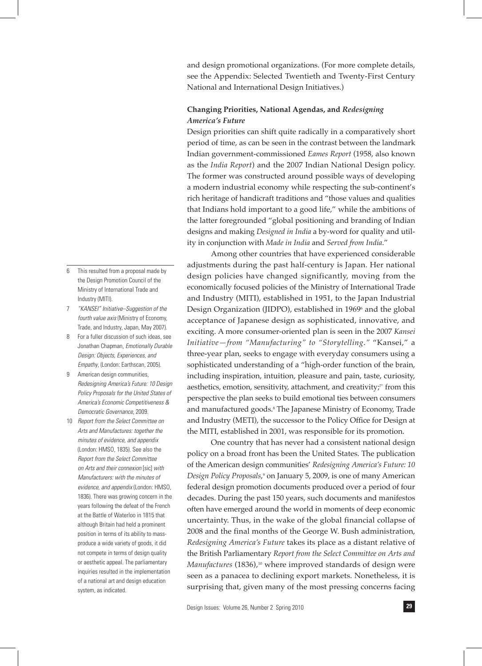and design promotional organizations. (For more complete details, see the Appendix: Selected Twentieth and Twenty-First Century National and International Design Initiatives.)

# **Changing Priorities, National Agendas, and** *Redesigning America's Future*

Design priorities can shift quite radically in a comparatively short period of time, as can be seen in the contrast between the landmark Indian government-commissioned *Eames Report* (1958, also known as the *India Report*) and the 2007 Indian National Design policy. The former was constructed around possible ways of developing a modern industrial economy while respecting the sub-continent's rich heritage of handicraft traditions and "those values and qualities that Indians hold important to a good life," while the ambitions of the latter foregrounded "global positioning and branding of Indian designs and making *Designed in India* a by-word for quality and utility in conjunction with *Made in India* and *Served from India*."

Among other countries that have experienced considerable adjustments during the past half-century is Japan. Her national design policies have changed significantly, moving from the economically focused policies of the Ministry of International Trade and Industry (MITI), established in 1951, to the Japan Industrial Design Organization (JIDPO), established in 1969<sub>°</sub> and the global acceptance of Japanese design as sophisticated, innovative, and exciting. A more consumer-oriented plan is seen in the 2007 *Kansei Initiative—from "Manufacturing" to "Storytelling*.*"* "Kansei," a three-year plan, seeks to engage with everyday consumers using a sophisticated understanding of a "high-order function of the brain, including inspiration, intuition, pleasure and pain, taste, curiosity, aesthetics, emotion, sensitivity, attachment, and creativity;" from this perspective the plan seeks to build emotional ties between consumers and manufactured goods.8 The Japanese Ministry of Economy, Trade and Industry (METI), the successor to the Policy Office for Design at the MITI, established in 2001, was responsible for its promotion.

One country that has never had a consistent national design policy on a broad front has been the United States. The publication of the American design communities' *Redesigning America's Future: 10*  D*esign Policy Proposals,*9 on January 5, 2009, is one of many American federal design promotion documents produced over a period of four decades. During the past 150 years, such documents and manifestos often have emerged around the world in moments of deep economic uncertainty. Thus, in the wake of the global financial collapse of 2008 and the final months of the George W. Bush administration, *Redesigning America's Future* takes its place as a distant relative of the British Parliamentary *Report from the Select Committee on Arts and Manufactures* (1836),<sup>10</sup> where improved standards of design were seen as a panacea to declining export markets. Nonetheless, it is surprising that, given many of the most pressing concerns facing

- 6 This resulted from a proposal made by the Design Promotion Council of the Ministry of International Trade and Industry (MITI).
- 7 *"KANSEI" Initiative–Suggestion of the fourth value axis* (Ministry of Economy, Trade, and Industry, Japan, May 2007).
- 8 For a fuller discussion of such ideas, see Jonathan Chapman, *Emotionally Durable Design: Objects, Experiences, and Empathy*, (London: Earthscan, 2005).
- 9 American design communities, *Redesigning America's Future: 10 Design Policy Proposals for the United States of America's Economic Competitiveness & Democratic Governance*, 2009.
- 10 *Report from the Select Committee on Arts and Manufactures: together the minutes of evidence, and appendix* (London: HMSO, 1835). See also the *Report from the Select Committee on Arts and their connexion* [sic] *with Manufacturers: with the minutes of evidence, and appendix* (London: HMSO, 1836). There was growing concern in the years following the defeat of the French at the Battle of Waterloo in 1815 that although Britain had held a prominent position in terms of its ability to massproduce a wide variety of goods, it did not compete in terms of design quality or aesthetic appeal. The parliamentary inquiries resulted in the implementation of a national art and design education system, as indicated.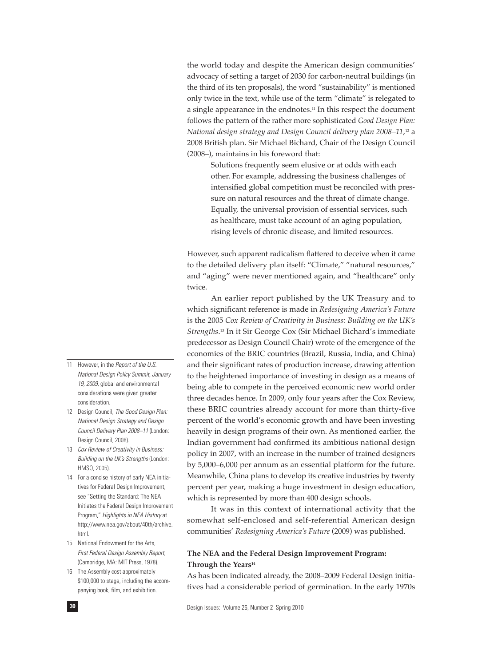the world today and despite the American design communities' advocacy of setting a target of 2030 for carbon-neutral buildings (in the third of its ten proposals), the word "sustainability" is mentioned only twice in the text, while use of the term "climate" is relegated to a single appearance in the endnotes.<sup>11</sup> In this respect the document follows the pattern of the rather more sophisticated *Good Design Plan: National design strategy and Design Council delivery plan 2008–11*, 12 a 2008 British plan. Sir Michael Bichard, Chair of the Design Council (2008–), maintains in his foreword that:

> Solutions frequently seem elusive or at odds with each other. For example, addressing the business challenges of intensified global competition must be reconciled with pressure on natural resources and the threat of climate change. Equally, the universal provision of essential services, such as healthcare, must take account of an aging population, rising levels of chronic disease, and limited resources.

However, such apparent radicalism flattered to deceive when it came to the detailed delivery plan itself: "Climate," "natural resources," and "aging" were never mentioned again, and "healthcare" only twice.

An earlier report published by the UK Treasury and to which significant reference is made in *Redesigning America's Future* is the 2005 *Cox Review of Creativity in Business: Building on the UK's Strengths*. 13 In it Sir George Cox (Sir Michael Bichard's immediate predecessor as Design Council Chair) wrote of the emergence of the economies of the BRIC countries (Brazil, Russia, India, and China) and their significant rates of production increase, drawing attention to the heightened importance of investing in design as a means of being able to compete in the perceived economic new world order three decades hence. In 2009, only four years after the Cox Review, these BRIC countries already account for more than thirty-five percent of the world's economic growth and have been investing heavily in design programs of their own. As mentioned earlier, the Indian government had confirmed its ambitious national design policy in 2007, with an increase in the number of trained designers by 5,000–6,000 per annum as an essential platform for the future. Meanwhile, China plans to develop its creative industries by twenty percent per year, making a huge investment in design education, which is represented by more than 400 design schools.

It was in this context of international activity that the somewhat self-enclosed and self-referential American design communities' *Redesigning America's Future* (2009) was published.

# **The NEA and the Federal Design Improvement Program: Through the Years14**

As has been indicated already, the 2008–2009 Federal Design initiatives had a considerable period of germination. In the early 1970s

- 11 However, in the *Report of the U.S. National Design Policy Summit, January 19, 2009,* global and environmental considerations were given greater consideration.
- 12 Design Council, *The Good Design Plan: National Design Strategy and Design Council Delivery Plan 2008–11* (London: Design Council, 2008).
- 13 *Cox Review of Creativity in Business: Building on the UK's Strengths* (London: HMSO, 2005).
- 14 For a concise history of early NEA initiatives for Federal Design Improvement. see "Setting the Standard: The NEA Initiates the Federal Design Improvement Program," *Highlights in NEA History* at http://www.nea.gov/about/40th/archive. html.
- 15 National Endowment for the Arts, *First Federal Design Assembly Report*, (Cambridge, MA: MIT Press, 1978).
- 16 The Assembly cost approximately \$100,000 to stage, including the accompanying book, film, and exhibition.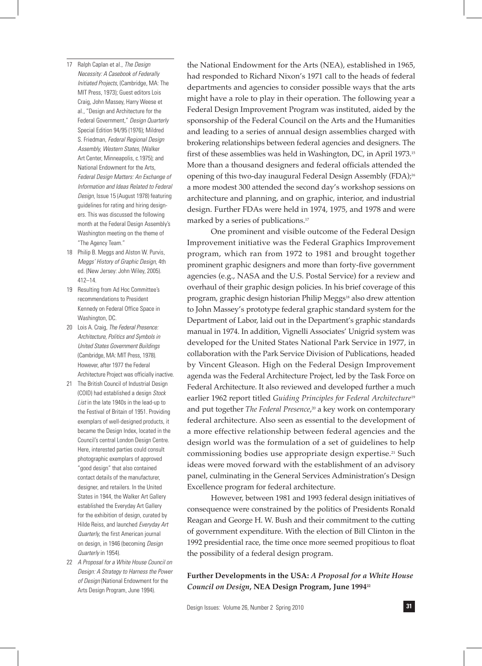- 17 Ralph Caplan et al., *The Design Necessity: A Casebook of Federally Initiated Projects,* (Cambridge, MA: The MIT Press, 1973); Guest editors Lois Craig, John Massey, Harry Weese et al., "Design and Architecture for the Federal Government," *Design Quarterly*  Special Edition 94/95 (1976); Mildred S. Friedman, *Federal Regional Design Assembly, Western States,* (Walker Art Center, Minneapolis, c.1975); and National Endowment for the Arts, *Federal Design Matters: An Exchange of Information and Ideas Related to Federal Design,* Issue 15 (August 1978) featuring guidelines for rating and hiring designers. This was discussed the following month at the Federal Design Assembly's Washington meeting on the theme of "The Agency Team."
- 18 Philip B. Meggs and Alston W. Purvis, *Meggs' History of Graphic Design*, 4th ed. (New Jersey: John Wiley, 2005). 412–14.
- 19 Resulting from Ad Hoc Committee's recommendations to President Kennedy on Federal Office Space in Washington, DC.
- 20 Lois A. Craig, *The Federal Presence: Architecture, Politics and Symbols in United States Government Buildings* (Cambridge, MA: MIT Press, 1978). However, after 1977 the Federal Architecture Project was officially inactive.
- 21 The British Council of Industrial Design (COID) had established a design *Stock List* in the late 1940s in the lead-up to the Festival of Britain of 1951. Providing exemplars of well-designed products, it became the Design Index, located in the Council's central London Design Centre. Here, interested parties could consult photographic exemplars of approved "good design" that also contained contact details of the manufacturer, designer, and retailers. In the United States in 1944, the Walker Art Gallery established the Everyday Art Gallery for the exhibition of design, curated by Hilde Reiss, and launched *Everyday Art Quarterly,* the first American journal on design, in 1946 (becoming *Design Quarterly* in 1954).
- 22 *A Proposal for a White House Council on Design: A Strategy to Harness the Power of Design* (National Endowment for the Arts Design Program, June 1994).

the National Endowment for the Arts (NEA), established in 1965, had responded to Richard Nixon's 1971 call to the heads of federal departments and agencies to consider possible ways that the arts might have a role to play in their operation. The following year a Federal Design Improvement Program was instituted, aided by the sponsorship of the Federal Council on the Arts and the Humanities and leading to a series of annual design assemblies charged with brokering relationships between federal agencies and designers. The first of these assemblies was held in Washington, DC, in April 1973.15 More than a thousand designers and federal officials attended the opening of this two-day inaugural Federal Design Assembly (FDA);<sup>16</sup> a more modest 300 attended the second day's workshop sessions on architecture and planning, and on graphic, interior, and industrial design. Further FDAs were held in 1974, 1975, and 1978 and were marked by a series of publications.<sup>17</sup>

One prominent and visible outcome of the Federal Design Improvement initiative was the Federal Graphics Improvement program, which ran from 1972 to 1981 and brought together prominent graphic designers and more than forty-five government agencies (e.g., NASA and the U.S. Postal Service) for a review and overhaul of their graphic design policies. In his brief coverage of this program, graphic design historian Philip Meggs<sup>18</sup> also drew attention to John Massey's prototype federal graphic standard system for the Department of Labor, laid out in the Department's graphic standards manual in 1974. In addition, Vignelli Associates' Unigrid system was developed for the United States National Park Service in 1977, in collaboration with the Park Service Division of Publications, headed by Vincent Gleason. High on the Federal Design Improvement agenda was the Federal Architecture Project, led by the Task Force on Federal Architecture. It also reviewed and developed further a much earlier 1962 report titled *Guiding Principles for Federal Architecture*<sup>19</sup> and put together *The Federal Presence*, 20 a key work on contemporary federal architecture. Also seen as essential to the development of a more effective relationship between federal agencies and the design world was the formulation of a set of guidelines to help commissioning bodies use appropriate design expertise.<sup>21</sup> Such ideas were moved forward with the establishment of an advisory panel, culminating in the General Services Administration's Design Excellence program for federal architecture.

However, between 1981 and 1993 federal design initiatives of consequence were constrained by the politics of Presidents Ronald Reagan and George H. W. Bush and their commitment to the cutting of government expenditure. With the election of Bill Clinton in the 1992 presidential race, the time once more seemed propitious to float the possibility of a federal design program.

**Further Developments in the USA:** *A Proposal for a White House Council on Design***, NEA Design Program, June 199422**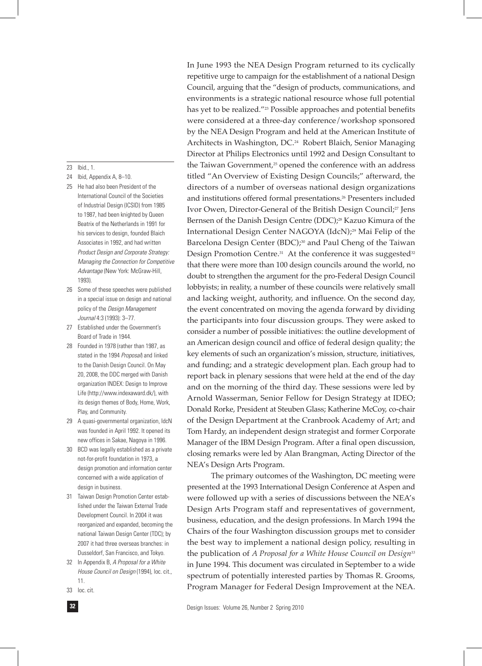- 23 Ibid., 1.
- 24 Ibid, Appendix A, 8–10.
- 25 He had also been President of the International Council of the Societies of Industrial Design (ICSID) from 1985 to 1987, had been knighted by Queen Beatrix of the Netherlands in 1991 for his services to design, founded Blaich Associates in 1992, and had written *Product Design and Corporate Strategy: Managing the Connection for Competitive Advantage* (New York: McGraw-Hill, 1993).
- 26 Some of these speeches were published in a special issue on design and national policy of the *Design Management Journal* 4:3 (1993): 3–77.
- 27 Established under the Government's Board of Trade in 1944.
- 28 Founded in 1978 (rather than 1987, as stated in the 1994 *Proposal*) and linked to the Danish Design Council. On May 20, 2008, the DDC merged with Danish organization INDEX: Design to Improve Life (http://www.indexaward.dk/), with its design themes of Body, Home, Work, Play, and Community.
- 29 A quasi-governmental organization, IdcN was founded in April 1992. It opened its new offices in Sakae, Nagoya in 1996.
- 30 BCD was legally established as a private not-for-profit foundation in 1973, a design promotion and information center concerned with a wide application of design in business.
- 31 Taiwan Design Promotion Center established under the Taiwan External Trade Development Council. In 2004 it was reorganized and expanded, becoming the national Taiwan Design Center (TDC); by 2007 it had three overseas branches: in Dusseldorf, San Francisco, and Tokyo.
- 32 In Appendix B, *A Proposal for a White House Council on Design* (1994), loc. cit., 11.
- 33 loc. cit.

In June 1993 the NEA Design Program returned to its cyclically repetitive urge to campaign for the establishment of a national Design Council, arguing that the "design of products, communications, and environments is a strategic national resource whose full potential has yet to be realized."<sup>23</sup> Possible approaches and potential benefits were considered at a three-day conference/workshop sponsored by the NEA Design Program and held at the American Institute of Architects in Washington, DC.<sup>24</sup> Robert Blaich, Senior Managing Director at Philips Electronics until 1992 and Design Consultant to the Taiwan Government,<sup>25</sup> opened the conference with an address titled "An Overview of Existing Design Councils;" afterward, the directors of a number of overseas national design organizations and institutions offered formal presentations.<sup>26</sup> Presenters included Ivor Owen, Director-General of the British Design Council;<sup>27</sup> Jens Bernsen of the Danish Design Centre (DDC);28 Kazuo Kimura of the International Design Center NAGOYA (IdcN);29 Mai Felip of the Barcelona Design Center (BDC);<sup>30</sup> and Paul Cheng of the Taiwan Design Promotion Centre.<sup>31</sup> At the conference it was suggested<sup>32</sup> that there were more than 100 design councils around the world, no doubt to strengthen the argument for the pro-Federal Design Council lobbyists; in reality, a number of these councils were relatively small and lacking weight, authority, and influence. On the second day, the event concentrated on moving the agenda forward by dividing the participants into four discussion groups. They were asked to consider a number of possible initiatives: the outline development of an American design council and office of federal design quality; the key elements of such an organization's mission, structure, initiatives, and funding; and a strategic development plan. Each group had to report back in plenary sessions that were held at the end of the day and on the morning of the third day. These sessions were led by Arnold Wasserman, Senior Fellow for Design Strategy at IDEO; Donald Rorke, President at Steuben Glass; Katherine McCoy, co-chair of the Design Department at the Cranbrook Academy of Art; and Tom Hardy, an independent design strategist and former Corporate Manager of the IBM Design Program. After a final open discussion, closing remarks were led by Alan Brangman, Acting Director of the

The primary outcomes of the Washington, DC meeting were presented at the 1993 International Design Conference at Aspen and were followed up with a series of discussions between the NEA's Design Arts Program staff and representatives of government, business, education, and the design professions. In March 1994 the Chairs of the four Washington discussion groups met to consider the best way to implement a national design policy, resulting in the publication of *A Proposal for a White House Council on Design33* in June 1994. This document was circulated in September to a wide spectrum of potentially interested parties by Thomas R. Grooms, Program Manager for Federal Design Improvement at the NEA.

NEA's Design Arts Program.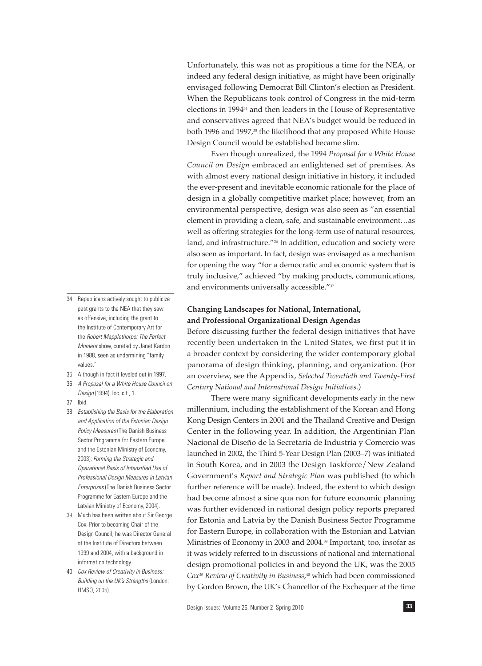Unfortunately, this was not as propitious a time for the NEA, or indeed any federal design initiative, as might have been originally envisaged following Democrat Bill Clinton's election as President. When the Republicans took control of Congress in the mid-term elections in 1994<sup>34</sup> and then leaders in the House of Representative and conservatives agreed that NEA's budget would be reduced in both 1996 and 1997,<sup>35</sup> the likelihood that any proposed White House Design Council would be established became slim.

Even though unrealized, the 1994 *Proposal for a White House Council on Design* embraced an enlightened set of premises. As with almost every national design initiative in history, it included the ever-present and inevitable economic rationale for the place of design in a globally competitive market place; however, from an environmental perspective, design was also seen as "an essential element in providing a clean, safe, and sustainable environment…as well as offering strategies for the long-term use of natural resources, land, and infrastructure."36 In addition, education and society were also seen as important. In fact, design was envisaged as a mechanism for opening the way "for a democratic and economic system that is truly inclusive," achieved "by making products, communications, and environments universally accessible."37

# **Changing Landscapes for National, International, and Professional Organizational Design Agendas**

Before discussing further the federal design initiatives that have recently been undertaken in the United States, we first put it in a broader context by considering the wider contemporary global panorama of design thinking, planning, and organization. (For an overview, see the Appendix, *Selected Twentieth and Twenty-First Century National and International Design Initiatives.*)

There were many significant developments early in the new millennium, including the establishment of the Korean and Hong Kong Design Centers in 2001 and the Thailand Creative and Design Center in the following year. In addition, the Argentinian Plan Nacional de Diseño de la Secretaria de Industria y Comercio was launched in 2002, the Third 5-Year Design Plan (2003–7) was initiated in South Korea, and in 2003 the Design Taskforce/New Zealand Government's *Report and Strategic Plan* was published (to which further reference will be made). Indeed, the extent to which design had become almost a sine qua non for future economic planning was further evidenced in national design policy reports prepared for Estonia and Latvia by the Danish Business Sector Programme for Eastern Europe, in collaboration with the Estonian and Latvian Ministries of Economy in 2003 and 2004.38 Important, too, insofar as it was widely referred to in discussions of national and international design promotional policies in and beyond the UK, was the 2005 *Cox39 Review of Creativity in Business*, <sup>40</sup> which had been commissioned by Gordon Brown, the UK's Chancellor of the Exchequer at the time

- 34 Republicans actively sought to publicize past grants to the NEA that they saw as offensive, including the grant to the Institute of Contemporary Art for the *Robert Mapplethorpe: The Perfect Moment* show, curated by Janet Kardon in 1988, seen as undermining "family values."
- 35 Although in fact it leveled out in 1997.
- 36 *A Proposal for a White House Council on*
- *Design* (1994), loc. cit., 1.
- 37 Ibid.
- 38 *Establishing the Basis for the Elaboration and Application of the Estonian Design Policy Measures* (The Danish Business Sector Programme for Eastern Europe and the Estonian Ministry of Economy, 2003); *Forming the Strategic and Operational Basis of Intensified Use of Professional Design Measures in Latvian Enterprises* (The Danish Business Sector Programme for Eastern Europe and the Latvian Ministry of Economy, 2004).
- 39 Much has been written about Sir George Cox. Prior to becoming Chair of the Design Council, he was Director General of the Institute of Directors between 1999 and 2004, with a background in information technology.
- 40 *Cox Review of Creativity in Business: Building on the UK's Strengths* (London: HMSO, 2005).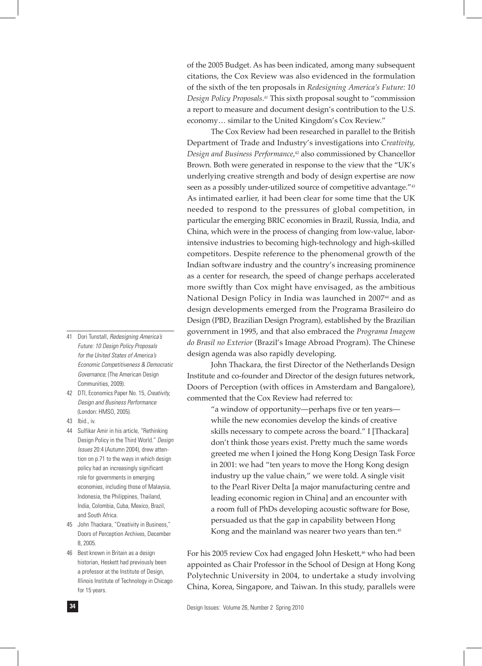of the 2005 Budget. As has been indicated, among many subsequent citations, the Cox Review was also evidenced in the formulation of the sixth of the ten proposals in *Redesigning America's Future: 10 Design Policy Proposals*. *<sup>41</sup>* This sixth proposal sought to "commission a report to measure and document design's contribution to the U.S. economy… similar to the United Kingdom's Cox Review."

The Cox Review had been researched in parallel to the British Department of Trade and Industry's investigations into *Creativity, Design and Business Performance*, 42 also commissioned by Chancellor Brown. Both were generated in response to the view that the "UK's underlying creative strength and body of design expertise are now seen as a possibly under-utilized source of competitive advantage."43 As intimated earlier, it had been clear for some time that the UK needed to respond to the pressures of global competition, in particular the emerging BRIC economies in Brazil, Russia, India, and China, which were in the process of changing from low-value, laborintensive industries to becoming high-technology and high-skilled competitors. Despite reference to the phenomenal growth of the Indian software industry and the country's increasing prominence as a center for research, the speed of change perhaps accelerated more swiftly than Cox might have envisaged, as the ambitious National Design Policy in India was launched in 2007<sup>44</sup> and as design developments emerged from the Programa Brasileiro do Design (PBD, Brazilian Design Program), established by the Brazilian government in 1995, and that also embraced the *Programa Imagem do Brasil no Exterior* (Brazil's Image Abroad Program). The Chinese design agenda was also rapidly developing.

John Thackara, the first Director of the Netherlands Design Institute and co-founder and Director of the design futures network, Doors of Perception (with offices in Amsterdam and Bangalore), commented that the Cox Review had referred to:

> "a window of opportunity—perhaps five or ten years while the new economies develop the kinds of creative skills necessary to compete across the board." I [Thackara] don't think those years exist. Pretty much the same words greeted me when I joined the Hong Kong Design Task Force in 2001: we had "ten years to move the Hong Kong design industry up the value chain," we were told. A single visit to the Pearl River Delta [a major manufacturing centre and leading economic region in China] and an encounter with a room full of PhDs developing acoustic software for Bose, persuaded us that the gap in capability between Hong Kong and the mainland was nearer two years than ten.45

For his 2005 review Cox had engaged John Heskett,<sup>46</sup> who had been appointed as Chair Professor in the School of Design at Hong Kong Polytechnic University in 2004, to undertake a study involving China, Korea, Singapore, and Taiwan. In this study, parallels were

- 41 Dori Tunstall, *Redesigning America's Future: 10 Design Policy Proposals for the United States of America's Economic Competitiveness & Democratic Governance*, (The American Design Communities, 2009).
- 42 DTI, Economics Paper No. 15, *Creativity, Design and Business Performance* (London: HMSO, 2005).
- 43 Ibid., iv.
- 44 Sulfikar Amir in his article, "Rethinking Design Policy in the Third World." *Design Issues* 20:4 (Autumn 2004), drew attention on p.71 to the ways in which design policy had an increasingly significant role for governments in emerging economies, including those of Malaysia, Indonesia, the Philippines, Thailand, India, Colombia, Cuba, Mexico, Brazil, and South Africa.
- 45 John Thackara, "Creativity in Business," Doors of Perception Archives, December 8, 2005.
- 46 Best known in Britain as a design historian, Heskett had previously been a professor at the Institute of Design, Illinois Institute of Technology in Chicago for 15 years.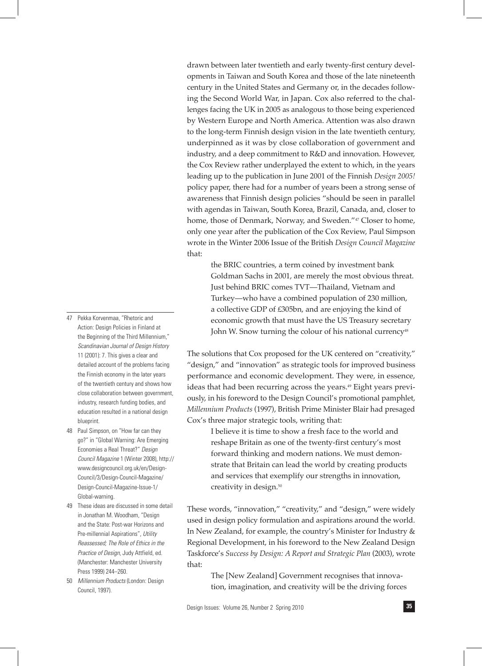drawn between later twentieth and early twenty-first century developments in Taiwan and South Korea and those of the late nineteenth century in the United States and Germany or, in the decades following the Second World War, in Japan. Cox also referred to the challenges facing the UK in 2005 as analogous to those being experienced by Western Europe and North America. Attention was also drawn to the long-term Finnish design vision in the late twentieth century, underpinned as it was by close collaboration of government and industry, and a deep commitment to R&D and innovation. However, the Cox Review rather underplayed the extent to which, in the years leading up to the publication in June 2001 of the Finnish *Design 2005!* policy paper, there had for a number of years been a strong sense of awareness that Finnish design policies "should be seen in parallel with agendas in Taiwan, South Korea, Brazil, Canada, and, closer to home, those of Denmark, Norway, and Sweden."<sup>47</sup> Closer to home, only one year after the publication of the Cox Review, Paul Simpson wrote in the Winter 2006 Issue of the British *Design Council Magazine* that:

> the BRIC countries, a term coined by investment bank Goldman Sachs in 2001, are merely the most obvious threat. Just behind BRIC comes TVT—Thailand, Vietnam and Turkey—who have a combined population of 230 million, a collective GDP of £305bn, and are enjoying the kind of economic growth that must have the US Treasury secretary John W. Snow turning the colour of his national currency<sup>48</sup>

The solutions that Cox proposed for the UK centered on "creativity," "design," and "innovation" as strategic tools for improved business performance and economic development. They were, in essence, ideas that had been recurring across the years.<sup>49</sup> Eight years previously, in his foreword to the Design Council's promotional pamphlet, *Millennium Products* (1997), British Prime Minister Blair had presaged Cox's three major strategic tools, writing that:

I believe it is time to show a fresh face to the world and reshape Britain as one of the twenty-first century's most forward thinking and modern nations. We must demonstrate that Britain can lead the world by creating products and services that exemplify our strengths in innovation, creativity in design.<sup>50</sup>

These words, "innovation," "creativity," and "design," were widely used in design policy formulation and aspirations around the world. In New Zealand, for example, the country's Minister for Industry & Regional Development, in his foreword to the New Zealand Design Taskforce's *Success by Design: A Report and Strategic Plan* (2003), wrote that:

The [New Zealand] Government recognises that innovation, imagination, and creativity will be the driving forces

Action: Design Policies in Finland at the Beginning of the Third Millennium," *Scandinavian Journal of Design History* 11 (2001): 7. This gives a clear and detailed account of the problems facing the Finnish economy in the later years of the twentieth century and shows how close collaboration between government, industry, research funding bodies, and education resulted in a national design blueprint.

47 Pekka Korvenmaa, "Rhetoric and

- 48 Paul Simpson, on "How far can they go?" in "Global Warning: Are Emerging Economies a Real Threat?" *Design Council Magazine* 1 (Winter 2008), http:// www.designcouncil.org.uk/en/Design-Council/3/Design-Council-Magazine/ Design-Council-Magazine-Issue-1/ Global-warning.
- 49 These ideas are discussed in some detail in Jonathan M. Woodham, "Design and the State: Post-war Horizons and Pre-millennial Aspirations", *Utility Reassessed; The Role of Ethics in the Practice of Design*, Judy Attfield, ed. (Manchester: Manchester University Press 1999) 244–260.
- 50 *Millennium Products* (London: Design Council, 1997).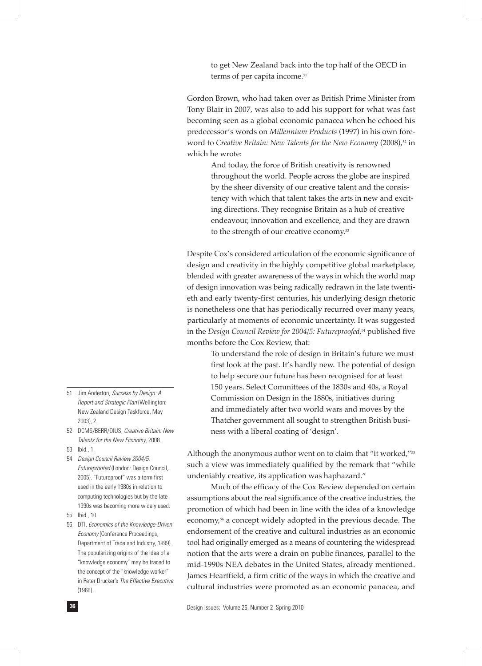to get New Zealand back into the top half of the OECD in terms of per capita income.<sup>51</sup>

Gordon Brown, who had taken over as British Prime Minister from Tony Blair in 2007, was also to add his support for what was fast becoming seen as a global economic panacea when he echoed his predecessor's words on *Millennium Products* (1997) in his own foreword to *Creative Britain: New Talents for the New Economy* (2008),<sup>52</sup> in which he wrote:

> And today, the force of British creativity is renowned throughout the world. People across the globe are inspired by the sheer diversity of our creative talent and the consistency with which that talent takes the arts in new and exciting directions. They recognise Britain as a hub of creative endeavour, innovation and excellence, and they are drawn to the strength of our creative economy.<sup>53</sup>

Despite Cox's considered articulation of the economic significance of design and creativity in the highly competitive global marketplace, blended with greater awareness of the ways in which the world map of design innovation was being radically redrawn in the late twentieth and early twenty-first centuries, his underlying design rhetoric is nonetheless one that has periodically recurred over many years, particularly at moments of economic uncertainty. It was suggested in the *Design Council Review for 2004/5: Futureproofed*, 54 published five months before the Cox Review, that:

> To understand the role of design in Britain's future we must first look at the past. It's hardly new. The potential of design to help secure our future has been recognised for at least 150 years. Select Committees of the 1830s and 40s, a Royal Commission on Design in the 1880s, initiatives during and immediately after two world wars and moves by the Thatcher government all sought to strengthen British business with a liberal coating of 'design'.

*Report and Strategic Plan* (Wellington: New Zealand Design Taskforce, May 2003), 2. 52 DCMS/BERR/DIUS, *Creative Britain: New* 

51 Jim Anderton, *Success by Design: A* 

- *Talents for the New Economy*, 2008.
- 53 Ibid., 1.
- 54 *Design Council Review 2004/5: Futureproofed* (London: Design Council, 2005). "Futureproof" was a term first used in the early 1980s in relation to computing technologies but by the late 1990s was becoming more widely used.
- 55 Ibid., 10.
- 56 DTI, *Economics of the Knowledge-Driven Economy* (Conference Proceedings, Department of Trade and Industry, 1999). The popularizing origins of the idea of a "knowledge economy" may be traced to the concept of the "knowledge worker" in Peter Drucker's *The Effective Executive* (1966).

Although the anonymous author went on to claim that "it worked,"<sup>55</sup> such a view was immediately qualified by the remark that "while undeniably creative, its application was haphazard."

Much of the efficacy of the Cox Review depended on certain assumptions about the real significance of the creative industries, the promotion of which had been in line with the idea of a knowledge economy,<sup>56</sup> a concept widely adopted in the previous decade. The endorsement of the creative and cultural industries as an economic tool had originally emerged as a means of countering the widespread notion that the arts were a drain on public finances, parallel to the mid-1990s NEA debates in the United States, already mentioned. James Heartfield, a firm critic of the ways in which the creative and cultural industries were promoted as an economic panacea, and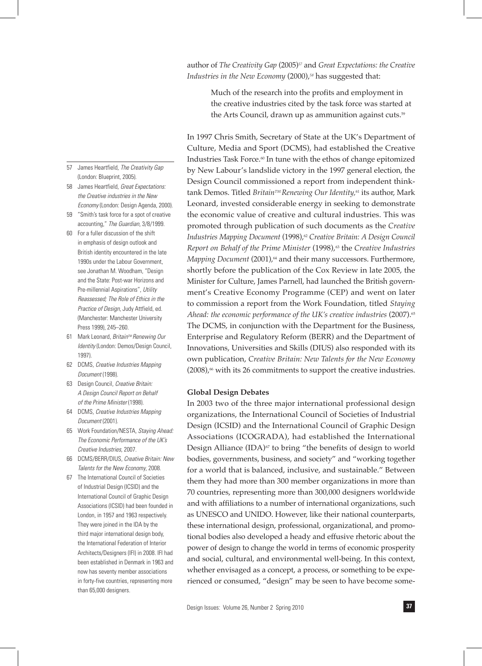57 James Heartfield, *The Creativity Gap* (London: Blueprint, 2005).

- 58 James Heartfield, *Great Expectations: the Creative industries in the New Economy* (London: Design Agenda, 2000).
- 59 "Smith's task force for a spot of creative accounting," *The Guardian*, 3/8/1999.
- 60 For a fuller discussion of the shift in emphasis of design outlook and British identity encountered in the late 1990s under the Labour Government, see Jonathan M. Woodham, "Design and the State: Post-war Horizons and Pre-millennial Aspirations", *Utility Reassessed; The Role of Ethics in the Practice of Design*, Judy Attfield, ed. (Manchester: Manchester University Press 1999), 245–260.
- 61 Mark Leonard, *BritainTM Renewing Our Identity* (London: Demos/Design Council, 1997).
- 62 DCMS, *Creative Industries Mapping Document* (1998).
- 63 Design Council, *Creative Britain: A Design Council Report on Behalf of the Prime Minister* (1998).
- 64 DCMS, *Creative Industries Mapping Document* (2001).
- 65 Work Foundation/NESTA, *Staying Ahead: The Economic Performance of the UK's Creative Industries*, 2007.
- 66 DCMS/BERR/DIUS, *Creative Britain: New Talents for the New Economy*, 2008.
- 67 The International Council of Societies of Industrial Design (ICSID) and the International Council of Graphic Design Associations (ICSID) had been founded in London, in 1957 and 1963 respectively. They were joined in the IDA by the third major international design body, the International Federation of Interior Architects/Designers (IFI) in 2008. IFI had been established in Denmark in 1963 and now has seventy member associations in forty-five countries, representing more than 65,000 designers.

author of *The Creativity Gap* (2005)*57* and *Great Expectations: the Creative Industries in the New Economy* (2000),*58* has suggested that:

> Much of the research into the profits and employment in the creative industries cited by the task force was started at the Arts Council, drawn up as ammunition against cuts.<sup>59</sup>

In 1997 Chris Smith, Secretary of State at the UK's Department of Culture, Media and Sport (DCMS), had established the Creative Industries Task Force.<sup>60</sup> In tune with the ethos of change epitomized by New Labour's landslide victory in the 1997 general election, the Design Council commissioned a report from independent thinktank Demos. Titled *BritainTM Renewing Our Identity,*61 its author, Mark Leonard, invested considerable energy in seeking to demonstrate the economic value of creative and cultural industries. This was promoted through publication of such documents as the *Creative*  Industries Mapping Document (1998),<sup>62</sup> Creative Britain: A Design Council *Report on Behalf of the Prime Minister* (1998),<sup>63</sup> the *Creative Industries Mapping Document* (2001),<sup>64</sup> and their many successors. Furthermore, shortly before the publication of the Cox Review in late 2005, the Minister for Culture, James Parnell, had launched the British government's Creative Economy Programme (CEP) and went on later to commission a report from the Work Foundation, titled *Staying Ahead: the economic performance of the UK's creative industries* (2007).65 The DCMS, in conjunction with the Department for the Business, Enterprise and Regulatory Reform (BERR) and the Department of Innovations, Universities and Skills (DIUS) also responded with its own publication, *Creative Britain: New Talents for the New Economy*  $(2008)$ ,<sup>66</sup> with its 26 commitments to support the creative industries.

### **Global Design Debates**

In 2003 two of the three major international professional design organizations, the International Council of Societies of Industrial Design (ICSID) and the International Council of Graphic Design Associations (ICOGRADA), had established the International Design Alliance  $(IDA)^\sigma$  to bring "the benefits of design to world bodies, governments, business, and society" and "working together for a world that is balanced, inclusive, and sustainable." Between them they had more than 300 member organizations in more than 70 countries, representing more than 300,000 designers worldwide and with affiliations to a number of international organizations, such as UNESCO and UNIDO. However, like their national counterparts, these international design, professional, organizational, and promotional bodies also developed a heady and effusive rhetoric about the power of design to change the world in terms of economic prosperity and social, cultural, and environmental well-being. In this context, whether envisaged as a concept, a process, or something to be experienced or consumed, "design" may be seen to have become some-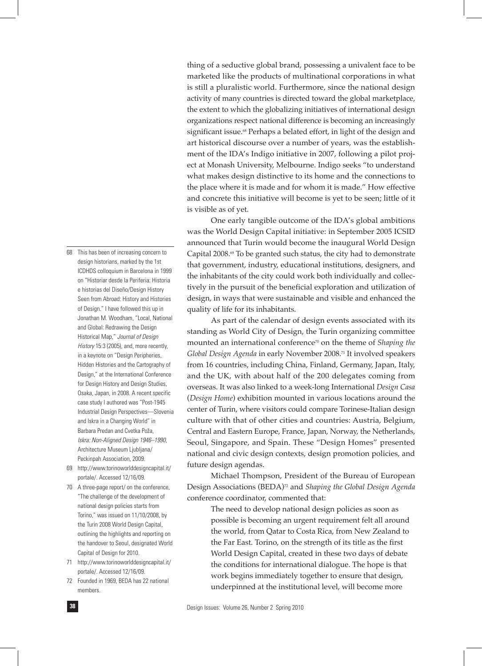- 68 This has been of increasing concern to design historians, marked by the 1st ICDHDS colloquium in Barcelona in 1999 on "Historiar desde la Periferia: Historia e historias del Diseño/Design History Seen from Abroad: History and Histories of Design." I have followed this up in Jonathan M. Woodham, "Local, National and Global: Redrawing the Design Historical Map," *Journal of Design History* 15:3 (2005), and, more recently, in a keynote on "Design Peripheries, Hidden Histories and the Cartography of Design," at the International Conference for Design History and Design Studies, Osaka, Japan, in 2008. A recent specific case study I authored was "Post-1945 Industrial Design Perspectives—Slovenia and Iskra in a Changing World" in Barbara Predan and Cvetka Poža, *Iskra: Non-Aligned Design 1946–1990*, Architecture Museum Ljubljana/ Peckinpah Association, 2009.
- 69 http://www.torinoworlddesigncapital.it/ portale/. Accessed 12/16/09.
- 70 A three-page report/ on the conference, "The challenge of the development of national design policies starts from Torino," was issued on 11/10/2008, by the Turin 2008 World Design Capital, outlining the highlights and reporting on the handover to Seoul, designated World Capital of Design for 2010.
- 71 http://www.torinoworlddesigncapital.it/ portale/. Accessed 12/16/09.
- 72 Founded in 1969, BEDA has 22 national members.

thing of a seductive global brand, possessing a univalent face to be marketed like the products of multinational corporations in what is still a pluralistic world. Furthermore, since the national design activity of many countries is directed toward the global marketplace, the extent to which the globalizing initiatives of international design organizations respect national difference is becoming an increasingly significant issue.<sup>68</sup> Perhaps a belated effort, in light of the design and art historical discourse over a number of years, was the establishment of the IDA's Indigo initiative in 2007, following a pilot project at Monash University, Melbourne. Indigo seeks "to understand what makes design distinctive to its home and the connections to the place where it is made and for whom it is made." How effective and concrete this initiative will become is yet to be seen; little of it is visible as of yet.

One early tangible outcome of the IDA's global ambitions was the World Design Capital initiative: in September 2005 ICSID announced that Turin would become the inaugural World Design Capital 2008. $\degree$  To be granted such status, the city had to demonstrate that government, industry, educational institutions, designers, and the inhabitants of the city could work both individually and collectively in the pursuit of the beneficial exploration and utilization of design, in ways that were sustainable and visible and enhanced the quality of life for its inhabitants.

As part of the calendar of design events associated with its standing as World City of Design, the Turin organizing committee mounted an international conference<sup>70</sup> on the theme of *Shaping the Global Design Agenda* in early November 2008.71 It involved speakers from 16 countries, including China, Finland, Germany, Japan, Italy, and the UK, with about half of the 200 delegates coming from overseas. It was also linked to a week-long International *Design Casa* (*Design Home*) exhibition mounted in various locations around the center of Turin, where visitors could compare Torinese-Italian design culture with that of other cities and countries: Austria, Belgium, Central and Eastern Europe, France, Japan, Norway, the Netherlands, Seoul, Singapore, and Spain. These "Design Homes" presented national and civic design contexts, design promotion policies, and future design agendas.

Michael Thompson, President of the Bureau of European Design Associations (BEDA)72 and *Shaping the Global Design Agenda* conference coordinator, commented that:

> The need to develop national design policies as soon as possible is becoming an urgent requirement felt all around the world, from Qatar to Costa Rica, from New Zealand to the Far East. Torino, on the strength of its title as the first World Design Capital, created in these two days of debate the conditions for international dialogue. The hope is that work begins immediately together to ensure that design, underpinned at the institutional level, will become more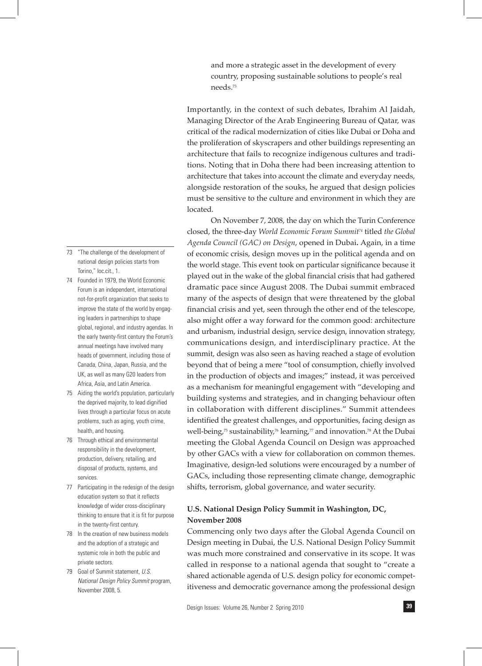and more a strategic asset in the development of every country, proposing sustainable solutions to people's real needs.73

Importantly, in the context of such debates, Ibrahim Al Jaidah, Managing Director of the Arab Engineering Bureau of Qatar, was critical of the radical modernization of cities like Dubai or Doha and the proliferation of skyscrapers and other buildings representing an architecture that fails to recognize indigenous cultures and traditions. Noting that in Doha there had been increasing attention to architecture that takes into account the climate and everyday needs, alongside restoration of the souks, he argued that design policies must be sensitive to the culture and environment in which they are located.

On November 7, 2008, the day on which the Turin Conference closed, the three-day *World Economic Forum Summit74* titled *the Global Agenda Council (GAC) on Design*, opened in Dubai**.** Again, in a time of economic crisis, design moves up in the political agenda and on the world stage. This event took on particular significance because it played out in the wake of the global financial crisis that had gathered dramatic pace since August 2008. The Dubai summit embraced many of the aspects of design that were threatened by the global financial crisis and yet, seen through the other end of the telescope, also might offer a way forward for the common good: architecture and urbanism, industrial design, service design, innovation strategy, communications design, and interdisciplinary practice. At the summit, design was also seen as having reached a stage of evolution beyond that of being a mere "tool of consumption, chiefly involved in the production of objects and images;" instead, it was perceived as a mechanism for meaningful engagement with "developing and building systems and strategies, and in changing behaviour often in collaboration with different disciplines." Summit attendees identified the greatest challenges, and opportunities, facing design as well-being,<sup>75</sup> sustainability,<sup>76</sup> learning,<sup>77</sup> and innovation.<sup>78</sup> At the Dubai meeting the Global Agenda Council on Design was approached by other GACs with a view for collaboration on common themes. Imaginative, design-led solutions were encouraged by a number of GACs, including those representing climate change, demographic shifts, terrorism, global governance, and water security.

# **U.S. National Design Policy Summit in Washington, DC, November 2008**

Commencing only two days after the Global Agenda Council on Design meeting in Dubai, the U.S. National Design Policy Summit was much more constrained and conservative in its scope. It was called in response to a national agenda that sought to "create a shared actionable agenda of U.S. design policy for economic competitiveness and democratic governance among the professional design

- 73 "The challenge of the development of national design policies starts from Torino," loc.cit., 1.
- 74 Founded in 1979, the World Economic Forum is an independent, international not-for-profit organization that seeks to improve the state of the world by engaging leaders in partnerships to shape global, regional, and industry agendas. In the early twenty-first century the Forum's annual meetings have involved many heads of government, including those of Canada, China, Japan, Russia, and the UK, as well as many G20 leaders from Africa, Asia, and Latin America.
- 75 Aiding the world's population, particularly the deprived majority, to lead dignified lives through a particular focus on acute problems, such as aging, youth crime, health, and housing.
- 76 Through ethical and environmental responsibility in the development, production, delivery, retailing, and disposal of products, systems, and services.
- 77 Participating in the redesign of the design education system so that it reflects knowledge of wider cross-disciplinary thinking to ensure that it is fit for purpose in the twenty-first century.
- 78 In the creation of new business models and the adoption of a strategic and systemic role in both the public and private sectors.
- 79 Goal of Summit statement, *U.S. National Design Policy Summit* program, November 2008, 5.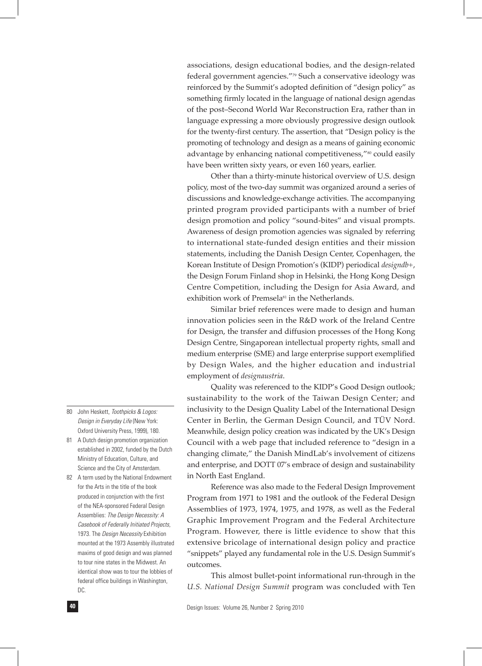associations, design educational bodies, and the design-related federal government agencies."79 Such a conservative ideology was reinforced by the Summit's adopted definition of "design policy" as something firmly located in the language of national design agendas of the post–Second World War Reconstruction Era, rather than in language expressing a more obviously progressive design outlook for the twenty-first century. The assertion, that "Design policy is the promoting of technology and design as a means of gaining economic advantage by enhancing national competitiveness,"<sup>80</sup> could easily have been written sixty years, or even 160 years, earlier.

Other than a thirty-minute historical overview of U.S. design policy, most of the two-day summit was organized around a series of discussions and knowledge-exchange activities. The accompanying printed program provided participants with a number of brief design promotion and policy "sound-bites" and visual prompts. Awareness of design promotion agencies was signaled by referring to international state-funded design entities and their mission statements, including the Danish Design Center, Copenhagen, the Korean Institute of Design Promotion's (KIDP) periodical *designdb+*, the Design Forum Finland shop in Helsinki, the Hong Kong Design Centre Competition, including the Design for Asia Award, and exhibition work of Premsela<sup>81</sup> in the Netherlands.

Similar brief references were made to design and human innovation policies seen in the R&D work of the Ireland Centre for Design, the transfer and diffusion processes of the Hong Kong Design Centre, Singaporean intellectual property rights, small and medium enterprise (SME) and large enterprise support exemplified by Design Wales, and the higher education and industrial employment of *designaustria*.

Quality was referenced to the KIDP's Good Design outlook; sustainability to the work of the Taiwan Design Center; and inclusivity to the Design Quality Label of the International Design Center in Berlin, the German Design Council, and TÜV Nord. Meanwhile, design policy creation was indicated by the UK's Design Council with a web page that included reference to "design in a changing climate," the Danish MindLab's involvement of citizens and enterprise, and DOTT 07's embrace of design and sustainability in North East England.

Reference was also made to the Federal Design Improvement Program from 1971 to 1981 and the outlook of the Federal Design Assemblies of 1973, 1974, 1975, and 1978, as well as the Federal Graphic Improvement Program and the Federal Architecture Program. However, there is little evidence to show that this extensive bricolage of international design policy and practice "snippets" played any fundamental role in the U.S. Design Summit's outcomes.

This almost bullet-point informational run-through in the *U.S. National Design Summit* program was concluded with Ten

- 80 John Heskett, *Toothpicks & Logos: Design in Everyday Life* (New York: Oxford University Press, 1999), 180.
- 81 A Dutch design promotion organization established in 2002, funded by the Dutch Ministry of Education, Culture, and Science and the City of Amsterdam.
- 82 A term used by the National Endowment for the Arts in the title of the book produced in conjunction with the first of the NEA-sponsored Federal Design Assemblies: *The Design Necessity: A Casebook of Federally Initiated Projects*, 1973. The *Design Necessity* Exhibition mounted at the 1973 Assembly illustrated maxims of good design and was planned to tour nine states in the Midwest. An identical show was to tour the lobbies of federal office buildings in Washington, DC.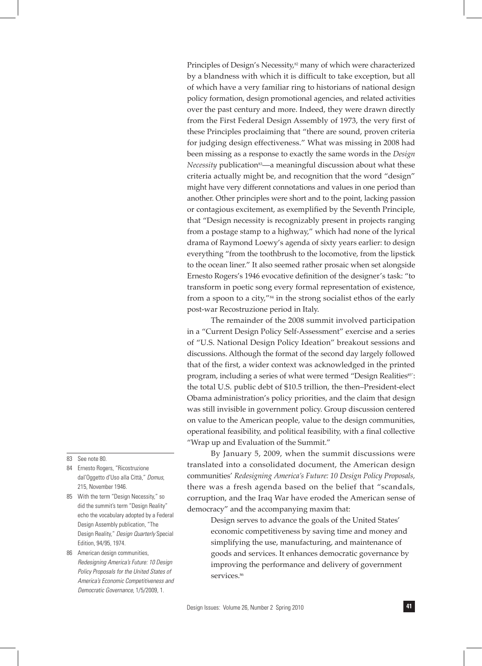Principles of Design's Necessity,<sup>82</sup> many of which were characterized by a blandness with which it is difficult to take exception, but all of which have a very familiar ring to historians of national design policy formation, design promotional agencies, and related activities over the past century and more. Indeed, they were drawn directly from the First Federal Design Assembly of 1973, the very first of these Principles proclaiming that "there are sound, proven criteria for judging design effectiveness." What was missing in 2008 had been missing as a response to exactly the same words in the *Design Necessity* publication<sup>83</sup>—a meaningful discussion about what these criteria actually might be, and recognition that the word "design" might have very different connotations and values in one period than another. Other principles were short and to the point, lacking passion or contagious excitement, as exemplified by the Seventh Principle, that "Design necessity is recognizably present in projects ranging from a postage stamp to a highway," which had none of the lyrical drama of Raymond Loewy's agenda of sixty years earlier: to design everything "from the toothbrush to the locomotive, from the lipstick to the ocean liner." It also seemed rather prosaic when set alongside Ernesto Rogers's 1946 evocative definition of the designer's task: "to transform in poetic song every formal representation of existence, from a spoon to a city,"84 in the strong socialist ethos of the early post-war Recostruzione period in Italy.

The remainder of the 2008 summit involved participation in a "Current Design Policy Self-Assessment" exercise and a series of "U.S. National Design Policy Ideation" breakout sessions and discussions. Although the format of the second day largely followed that of the first, a wider context was acknowledged in the printed program, including a series of what were termed "Design Realities<sup>85"</sup>: the total U.S. public debt of \$10.5 trillion, the then–President-elect Obama administration's policy priorities, and the claim that design was still invisible in government policy. Group discussion centered on value to the American people, value to the design communities, operational feasibility, and political feasibility, with a final collective "Wrap up and Evaluation of the Summit."

83 See note 80.

- 84 Ernesto Rogers, "Ricostruzione dal'Oggetto d'Uso alla Città," *Domus*, 215, November 1946.
- 85 With the term "Design Necessity," so did the summit's term "Design Reality" echo the vocabulary adopted by a Federal Design Assembly publication, "The Design Reality," *Design Quarterly* Special Edition, 94/95, 1974.
- 86 American design communities, *Redesigning America's Future: 10 Design Policy Proposals for the United States of America's Economic Competitiveness and Democratic Governance*, 1/5/2009, 1.

By January 5, 2009, when the summit discussions were translated into a consolidated document, the American design communities' *Redesigning America's Future: 10 Design Policy Proposals,*  there was a fresh agenda based on the belief that "scandals, corruption, and the Iraq War have eroded the American sense of democracy" and the accompanying maxim that:

Design serves to advance the goals of the United States' economic competitiveness by saving time and money and simplifying the use, manufacturing, and maintenance of goods and services. It enhances democratic governance by improving the performance and delivery of government services.<sup>86</sup>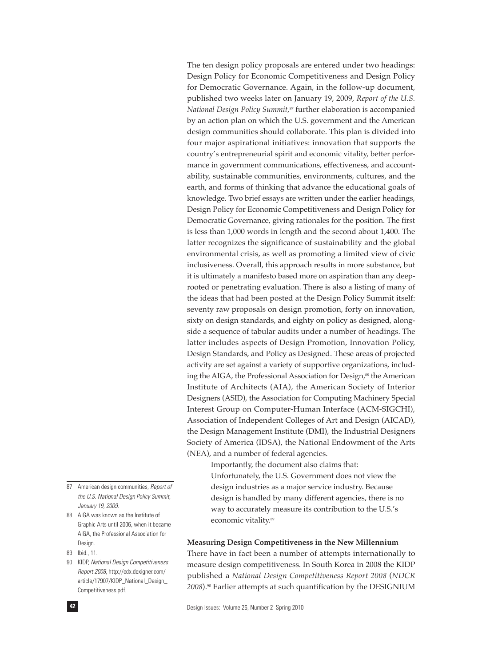The ten design policy proposals are entered under two headings: Design Policy for Economic Competitiveness and Design Policy for Democratic Governance. Again, in the follow-up document, published two weeks later on January 19, 2009, *Report of the U.S. National Design Policy Summit,*87 further elaboration is accompanied by an action plan on which the U.S. government and the American design communities should collaborate. This plan is divided into four major aspirational initiatives: innovation that supports the country's entrepreneurial spirit and economic vitality, better performance in government communications, effectiveness, and accountability, sustainable communities, environments, cultures, and the earth, and forms of thinking that advance the educational goals of knowledge. Two brief essays are written under the earlier headings, Design Policy for Economic Competitiveness and Design Policy for Democratic Governance, giving rationales for the position. The first is less than 1,000 words in length and the second about 1,400. The latter recognizes the significance of sustainability and the global environmental crisis, as well as promoting a limited view of civic inclusiveness. Overall, this approach results in more substance, but it is ultimately a manifesto based more on aspiration than any deeprooted or penetrating evaluation. There is also a listing of many of the ideas that had been posted at the Design Policy Summit itself: seventy raw proposals on design promotion, forty on innovation, sixty on design standards, and eighty on policy as designed, alongside a sequence of tabular audits under a number of headings. The latter includes aspects of Design Promotion, Innovation Policy, Design Standards, and Policy as Designed. These areas of projected activity are set against a variety of supportive organizations, including the AIGA, the Professional Association for Design,<sup>88</sup> the American Institute of Architects (AIA), the American Society of Interior Designers (ASID), the Association for Computing Machinery Special Interest Group on Computer-Human Interface (ACM-SIGCHI), Association of Independent Colleges of Art and Design (AICAD), the Design Management Institute (DMI), the Industrial Designers Society of America (IDSA), the National Endowment of the Arts (NEA), and a number of federal agencies.

> Importantly, the document also claims that: Unfortunately, the U.S. Government does not view the design industries as a major service industry. Because design is handled by many different agencies, there is no way to accurately measure its contribution to the U.S.'s economic vitality.<sup>89</sup>

# **Measuring Design Competitiveness in the New Millennium**

There have in fact been a number of attempts internationally to measure design competitiveness. In South Korea in 2008 the KIDP published a *National Design Competitiveness Report 2008* (*NDCR 2008*).90 Earlier attempts at such quantification by the DESIGNIUM

- 87 American design communities, *Report of the U.S. National Design Policy Summit, January 19, 2009.*
- 88 AIGA was known as the Institute of Graphic Arts until 2006, when it became AIGA, the Professional Association for Design.
- 89 Ibid., 11.
- 90 KIDP, *National Design Competitiveness Report 2008*, http://cdx.dexigner.com/ article/17907/KIDP\_National\_Design\_ Competitiveness.pdf.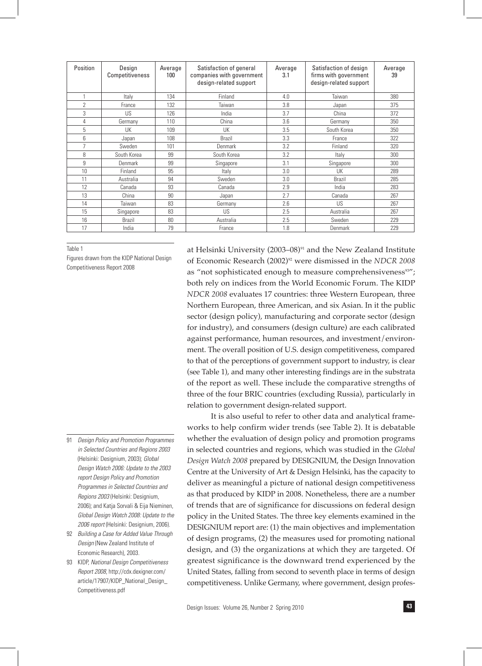| Position       | Design<br>Competitiveness | Average<br>100 | Satisfaction of general<br>companies with government<br>design-related support | Average<br>3.1 | Satisfaction of design<br>firms with government<br>design-related support | Average<br>39 |
|----------------|---------------------------|----------------|--------------------------------------------------------------------------------|----------------|---------------------------------------------------------------------------|---------------|
|                | Italy                     | 134            | Finland                                                                        | 4.0            | Taiwan                                                                    | 380           |
| $\overline{2}$ | France                    | 132            | Taiwan                                                                         | 3.8            | Japan                                                                     | 375           |
| 3              | US                        | 126            | India                                                                          | 3.7            | China                                                                     | 372           |
| 4              | Germany                   | 110            | China                                                                          | 3.6            | Germany                                                                   | 350           |
| 5              | UK                        | 109            | UK                                                                             | 3.5            | South Korea                                                               | 350           |
| 6              | Japan                     | 108            | Brazil                                                                         | 3.3            | France                                                                    | 322           |
| $\overline{7}$ | Sweden                    | 101            | Denmark                                                                        | 3.2            | Finland                                                                   | 320           |
| 8              | South Korea               | 99             | South Korea                                                                    | 3.2            | Italy                                                                     | 300           |
| 9              | Denmark                   | 99             | Singapore                                                                      | 3.1            | Singapore                                                                 | 300           |
| 10             | Finland                   | 95             | Italy                                                                          | 3.0            | UK                                                                        | 289           |
| 11             | Australia                 | 94             | Sweden                                                                         | 3.0            | <b>Brazil</b>                                                             | 285           |
| 12             | Canada                    | 93             | Canada                                                                         | 7.9            | India                                                                     | 283           |
| 13             | China                     | 90             | Japan                                                                          | 2.7            | Canada                                                                    | 267           |
| 14             | Taiwan                    | 83             | Germany                                                                        | 2.6            | US                                                                        | 267           |
| 15             | Singapore                 | 83             | <b>US</b>                                                                      | 2.5            | Australia                                                                 | 267           |
| 16             | Brazil                    | 80             | Australia                                                                      | 2.5            | Sweden                                                                    | 229           |
| 17             | India                     | 79             | France                                                                         | 1.8            | Denmark                                                                   | 229           |

Table 1

Figures drawn from the KIDP National Design Competitiveness Report 2008

- at Helsinki University (2003–08)<sup>91</sup> and the New Zealand Institute of Economic Research (2002)92 were dismissed in the *NDCR 2008* as "not sophisticated enough to measure comprehensiveness<sup>93"</sup>; both rely on indices from the World Economic Forum. The KIDP *NDCR 2008* evaluates 17 countries: three Western European, three Northern European, three American, and six Asian. In it the public sector (design policy), manufacturing and corporate sector (design for industry), and consumers (design culture) are each calibrated against performance, human resources, and investment/environment. The overall position of U.S. design competitiveness, compared to that of the perceptions of government support to industry, is clear (see Table 1), and many other interesting findings are in the substrata of the report as well. These include the comparative strengths of three of the four BRIC countries (excluding Russia), particularly in relation to government design-related support.
- It is also useful to refer to other data and analytical frameworks to help confirm wider trends (see Table 2). It is debatable whether the evaluation of design policy and promotion programs in selected countries and regions, which was studied in the *Global Design Watch 2008* prepared by DESIGNIUM, the Design Innovation Centre at the University of Art & Design Helsinki, has the capacity to deliver as meaningful a picture of national design competitiveness as that produced by KIDP in 2008. Nonetheless, there are a number of trends that are of significance for discussions on federal design policy in the United States. The three key elements examined in the DESIGNIUM report are: (1) the main objectives and implementation of design programs, (2) the measures used for promoting national design, and (3) the organizations at which they are targeted. Of greatest significance is the downward trend experienced by the United States, falling from second to seventh place in terms of design competitiveness. Unlike Germany, where government, design profes-
- 91 *Design Policy and Promotion Programmes in Selected Countries and Regions 2003*  (Helsinki: Designium, 2003); *Global Design Watch 2006: Update to the 2003 report Design Policy and Promotion Programmes in Selected Countries and Regions 2003* (Helsinki: Designium, 2006); and Katja Sorvali & Eija Nieminen, *Global Design Watch 2008: Update to the 2006 report* (Helsinki: Designium, 2006).
- 92 *Building a Case for Added Value Through Design* (New Zealand Institute of Economic Research), 2003.
- 93 KIDP, *National Design Competitiveness Report 2008*, http://cdx.dexigner.com/ article/17907/KIDP\_National\_Design\_ Competitiveness.pdf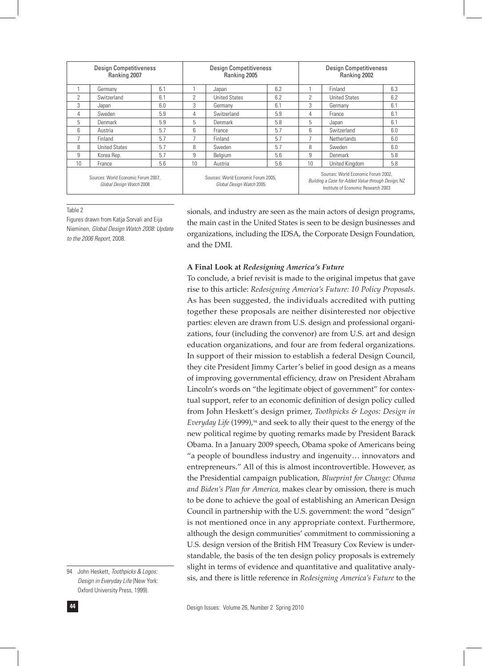| <b>Design Competitiveness</b><br>Ranking 2007                   |                      |                                                                 | <b>Design Competitiveness</b><br>Ranking 2005 |                      | <b>Design Competitiveness</b><br>Ranking 2002                                                                                    |               |                      |     |
|-----------------------------------------------------------------|----------------------|-----------------------------------------------------------------|-----------------------------------------------|----------------------|----------------------------------------------------------------------------------------------------------------------------------|---------------|----------------------|-----|
|                                                                 | Germany              | 6.1                                                             |                                               | Japan                | 6.2                                                                                                                              |               | Finland              | 6.3 |
| $\mathcal{P}$                                                   | Switzerland          | 6.1                                                             | 2                                             | <b>United States</b> | 6.2                                                                                                                              | $\mathcal{P}$ | <b>United States</b> | 6.2 |
| 3                                                               | Japan                | 6.0                                                             | 3                                             | Germany              | 6.1                                                                                                                              | 3             | Germany              | 6.1 |
| 4                                                               | Sweden               | 5.9                                                             | 4                                             | Switzerland          | 5.9                                                                                                                              | 4             | France               | 6.1 |
| 5                                                               | Denmark              | 5.9                                                             | 5                                             | Denmark              | 5.8                                                                                                                              | 5             | Japan                | 6.1 |
| 6                                                               | Austria              | 5.7                                                             | 6                                             | France               | 5.7                                                                                                                              | 6             | Switzerland          | 6.0 |
|                                                                 | Finland              | 5.7                                                             | 7                                             | Finland              | 5.7                                                                                                                              |               | <b>Netherlands</b>   | 6.0 |
| 8                                                               | <b>United States</b> | 5.7                                                             | 8                                             | Sweden               | 5.7                                                                                                                              | 8             | Sweden               | 6.0 |
| 9                                                               | Korea Rep.           | 5.7                                                             | 9                                             | Belgium              | 5.6                                                                                                                              | 9             | Denmark              | 5.8 |
| 10                                                              | France               | 5.6                                                             | 10                                            | Austria              | 5.6                                                                                                                              | 10            | United Kingdom       | 5.8 |
| Sources: World Economic Forum 2007.<br>Global Design Watch 2008 |                      | Sources: World Economic Forum 2005.<br>Global Design Watch 2005 |                                               |                      | Sources: World Economic Forum 2002.<br>Building a Case for Added Value through Design, NZ<br>Institute of Economic Research 2003 |               |                      |     |

Table 2

Figures drawn from Katja Sorvali and Eija Nieminen, *Global Design Watch 2008: Update to the 2006 Report*, 2008.

sionals, and industry are seen as the main actors of design programs, the main cast in the United States is seen to be design businesses and organizations, including the IDSA, the Corporate Design Foundation, and the DMI.

# **A Final Look at** *Redesigning America's Future*

To conclude, a brief revisit is made to the original impetus that gave rise to this article: *Redesigning America's Future: 10 Policy Proposals*. As has been suggested, the individuals accredited with putting together these proposals are neither disinterested nor objective parties: eleven are drawn from U.S. design and professional organizations, four (including the convenor) are from U.S. art and design education organizations, and four are from federal organizations. In support of their mission to establish a federal Design Council, they cite President Jimmy Carter's belief in good design as a means of improving governmental efficiency, draw on President Abraham Lincoln's words on "the legitimate object of government" for contextual support, refer to an economic definition of design policy culled from John Heskett's design primer, *Toothpicks & Logos: Design in Everyday Life* (1999),<sup>94</sup> and seek to ally their quest to the energy of the new political regime by quoting remarks made by President Barack Obama. In a January 2009 speech, Obama spoke of Americans being "a people of boundless industry and ingenuity… innovators and entrepreneurs." All of this is almost incontrovertible. However, as the Presidential campaign publication, *Blueprint for Change: Obama and Biden's Plan for America,* makes clear by omission, there is much to be done to achieve the goal of establishing an American Design Council in partnership with the U.S. government: the word "design" is not mentioned once in any appropriate context. Furthermore, although the design communities' commitment to commissioning a U.S. design version of the British HM Treasury Cox Review is understandable, the basis of the ten design policy proposals is extremely slight in terms of evidence and quantitative and qualitative analysis, and there is little reference in *Redesigning America's Future* to the

<sup>94</sup> John Heskett, *Toothpicks & Logos: Design in Everyday Life* (New York: Oxford University Press, 1999).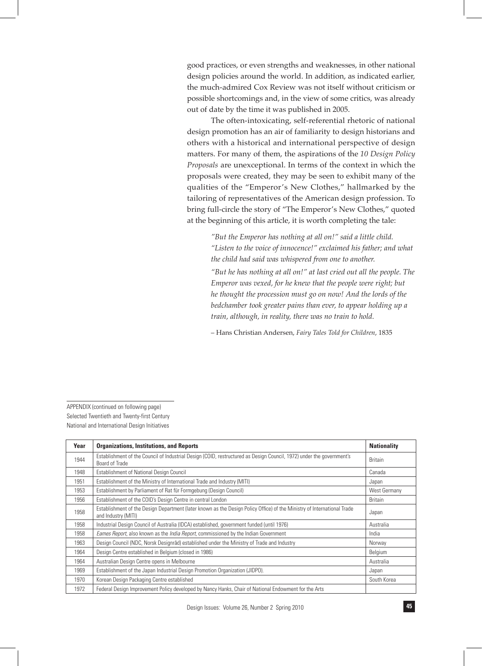good practices, or even strengths and weaknesses, in other national design policies around the world. In addition, as indicated earlier, the much-admired Cox Review was not itself without criticism or possible shortcomings and, in the view of some critics, was already out of date by the time it was published in 2005.

The often-intoxicating, self-referential rhetoric of national design promotion has an air of familiarity to design historians and others with a historical and international perspective of design matters. For many of them, the aspirations of the *10 Design Policy Proposals* are unexceptional. In terms of the context in which the proposals were created, they may be seen to exhibit many of the qualities of the "Emperor's New Clothes," hallmarked by the tailoring of representatives of the American design profession. To bring full-circle the story of "The Emperor's New Clothes," quoted at the beginning of this article, it is worth completing the tale:

> *"But the Emperor has nothing at all on!" said a little child. "Listen to the voice of innocence!" exclaimed his father; and what the child had said was whispered from one to another.*

> *"But he has nothing at all on!" at last cried out all the people. The Emperor was vexed, for he knew that the people were right; but he thought the procession must go on now! And the lords of the bedchamber took greater pains than ever, to appear holding up a train, although, in reality, there was no train to hold.*

– Hans Christian Andersen, *Fairy Tales Told for Children*, 1835

APPENDIX (continued on following page) Selected Twentieth and Twenty-first Century National and International Design Initiatives

| Year | <b>Organizations, Institutions, and Reports</b>                                                                                                | <b>Nationality</b> |
|------|------------------------------------------------------------------------------------------------------------------------------------------------|--------------------|
| 1944 | Establishment of the Council of Industrial Design (COID, restructured as Design Council, 1972) under the government's<br>Board of Trade        | <b>Britain</b>     |
| 1948 | Establishment of National Design Council                                                                                                       | Canada             |
| 1951 | Establishment of the Ministry of International Trade and Industry (MITI)                                                                       | Japan              |
| 1953 | Establishment by Parliament of Rat für Formgebung (Design Council)                                                                             | West Germany       |
| 1956 | Establishment of the COID's Design Centre in central London                                                                                    | <b>Britain</b>     |
| 1958 | Establishment of the Design Department (later known as the Design Policy Office) of the Ministry of International Trade<br>and Industry (MITI) | Japan              |
| 1958 | Industrial Design Council of Australia (IDCA) established, government funded (until 1976)                                                      | Australia          |
| 1958 | Eames Report, also known as the India Report, commissioned by the Indian Government                                                            | India              |
| 1963 | Design Council (NDC, Norsk Designråd) established under the Ministry of Trade and Industry                                                     | Norway             |
| 1964 | Design Centre established in Belgium (closed in 1986)                                                                                          | Belgium            |
| 1964 | Australian Design Centre opens in Melbourne                                                                                                    | Australia          |
| 1969 | Establishment of the Japan Industrial Design Promotion Organization (JIDPO).                                                                   | Japan              |
| 1970 | Korean Design Packaging Centre established                                                                                                     | South Korea        |
| 1972 | Federal Design Improvement Policy developed by Nancy Hanks, Chair of National Endowment for the Arts                                           |                    |